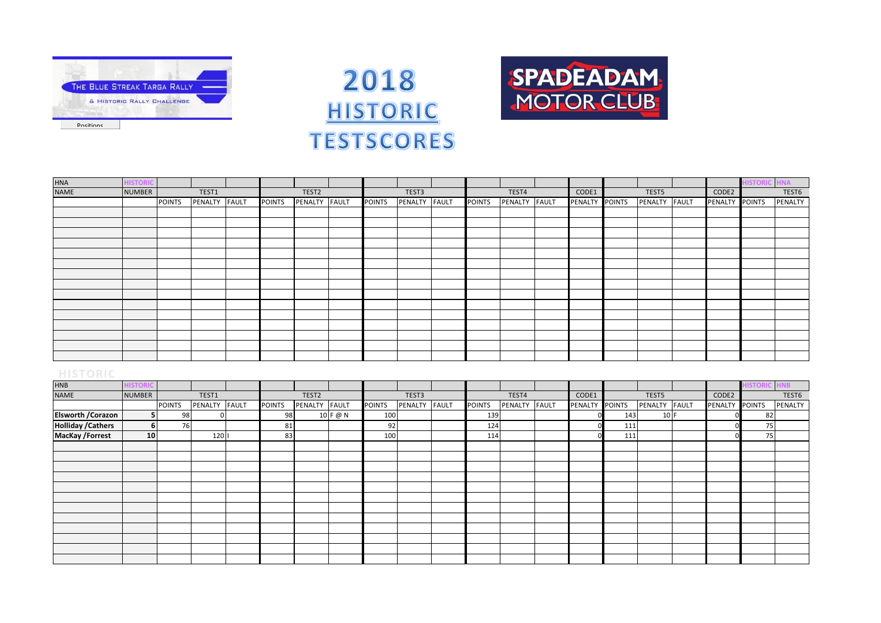





| <b>HNA</b> | <b>ISTORIC</b> |               |               |               |               |               |               |               |               |                |               |                | <b>ISTORI</b> |         |
|------------|----------------|---------------|---------------|---------------|---------------|---------------|---------------|---------------|---------------|----------------|---------------|----------------|---------------|---------|
| NAME       | <b>NUMBER</b>  |               | TEST1         |               | TEST2         |               | TEST3         |               | TEST4         | CODE1          | TEST5         | CODE2          |               | TEST6   |
|            |                | <b>POINTS</b> | PENALTY FAULT | <b>POINTS</b> | PENALTY FAULT | <b>POINTS</b> | PENALTY FAULT | <b>POINTS</b> | PENALTY FAULT | PENALTY POINTS | PENALTY FAULT | PENALTY POINTS |               | PENALTY |
|            |                |               |               |               |               |               |               |               |               |                |               |                |               |         |
|            |                |               |               |               |               |               |               |               |               |                |               |                |               |         |
|            |                |               |               |               |               |               |               |               |               |                |               |                |               |         |
|            |                |               |               |               |               |               |               |               |               |                |               |                |               |         |
|            |                |               |               |               |               |               |               |               |               |                |               |                |               |         |
|            |                |               |               |               |               |               |               |               |               |                |               |                |               |         |
|            |                |               |               |               |               |               |               |               |               |                |               |                |               |         |
|            |                |               |               |               |               |               |               |               |               |                |               |                |               |         |
|            |                |               |               |               |               |               |               |               |               |                |               |                |               |         |
|            |                |               |               |               |               |               |               |               |               |                |               |                |               |         |
|            |                |               |               |               |               |               |               |               |               |                |               |                |               |         |
|            |                |               |               |               |               |               |               |               |               |                |               |                |               |         |
|            |                |               |               |               |               |               |               |               |               |                |               |                |               |         |
|            |                |               |               |               |               |               |               |               |               |                |               |                |               |         |
|            |                |               |               |               |               |               |               |               |               |                |               |                |               |         |

| <b>HNB</b>                |                 |               |         |       |               |                   |              |               |         |              |               |         |              |                |        |               |                | <b>STOR</b>   | IB.     |
|---------------------------|-----------------|---------------|---------|-------|---------------|-------------------|--------------|---------------|---------|--------------|---------------|---------|--------------|----------------|--------|---------------|----------------|---------------|---------|
| <b>NAME</b>               | <b>NUMBER</b>   |               | TEST1   |       |               | TEST <sub>2</sub> |              |               | TEST3   |              |               | TEST4   |              | CODE1          |        | TEST5         | CODE2          |               | TEST6   |
|                           |                 | <b>POINTS</b> | PENALTY | FAULT | <b>POINTS</b> | PENALTY           | <b>FAULT</b> | <b>POINTS</b> | PENALTY | <b>FAULT</b> | <b>POINTS</b> | PENALTY | <b>FAULT</b> | <b>PENALTY</b> | POINTS | PENALTY FAULT | <b>PENALTY</b> | <b>POINTS</b> | PENALTY |
| <b>Elsworth / Corazon</b> |                 | 98            |         |       | 98            |                   | 10 F @ N     | 100           |         |              | 139           |         |              |                | 143    | 10 F          |                | 82            |         |
| <b>Holliday / Cathers</b> |                 | 76            |         |       | 81            |                   |              | 92            |         |              | 124           |         |              |                | 111    |               |                | 75            |         |
| <b>MacKay /Forrest</b>    | 10 <sup>1</sup> |               | 120     |       | 83            |                   |              | 100           |         |              | 114           |         |              |                | 111    |               |                | 75            |         |
|                           |                 |               |         |       |               |                   |              |               |         |              |               |         |              |                |        |               |                |               |         |
|                           |                 |               |         |       |               |                   |              |               |         |              |               |         |              |                |        |               |                |               |         |
|                           |                 |               |         |       |               |                   |              |               |         |              |               |         |              |                |        |               |                |               |         |
|                           |                 |               |         |       |               |                   |              |               |         |              |               |         |              |                |        |               |                |               |         |
|                           |                 |               |         |       |               |                   |              |               |         |              |               |         |              |                |        |               |                |               |         |
|                           |                 |               |         |       |               |                   |              |               |         |              |               |         |              |                |        |               |                |               |         |
|                           |                 |               |         |       |               |                   |              |               |         |              |               |         |              |                |        |               |                |               |         |
|                           |                 |               |         |       |               |                   |              |               |         |              |               |         |              |                |        |               |                |               |         |
|                           |                 |               |         |       |               |                   |              |               |         |              |               |         |              |                |        |               |                |               |         |
|                           |                 |               |         |       |               |                   |              |               |         |              |               |         |              |                |        |               |                |               |         |
|                           |                 |               |         |       |               |                   |              |               |         |              |               |         |              |                |        |               |                |               |         |
|                           |                 |               |         |       |               |                   |              |               |         |              |               |         |              |                |        |               |                |               |         |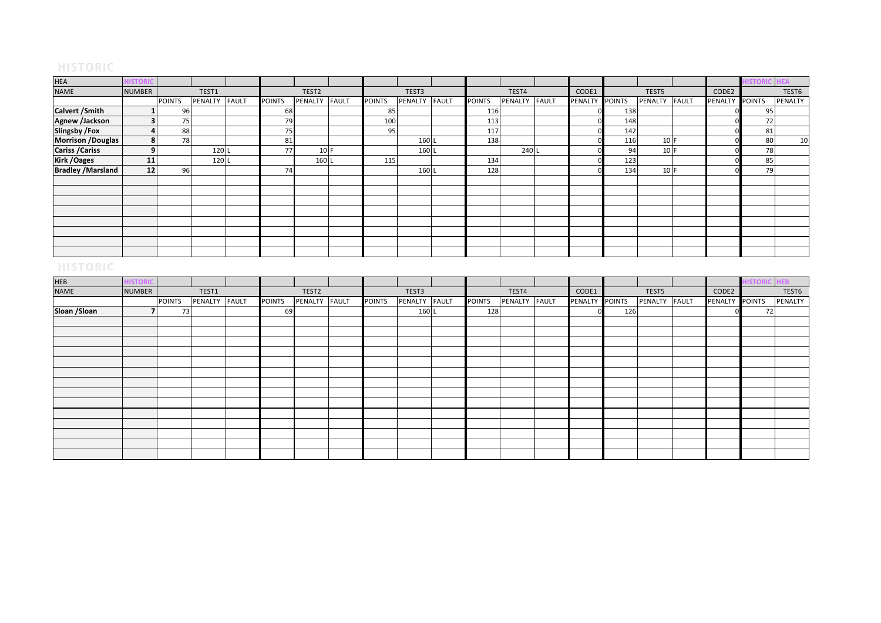| <b>HEA</b>                |               |                 |               |               |                   |              |               |         |              |               |         |              |                |               |               |         |               |         |
|---------------------------|---------------|-----------------|---------------|---------------|-------------------|--------------|---------------|---------|--------------|---------------|---------|--------------|----------------|---------------|---------------|---------|---------------|---------|
| NAME                      | <b>NUMBER</b> |                 | TEST1         |               | TEST <sub>2</sub> |              |               | TEST3   |              |               | TEST4   |              | CODE1          |               | TEST5         | CODE2   |               | TEST6   |
|                           |               | <b>POINTS</b>   | PENALTY FAULT | <b>POINTS</b> | PENALTY           | <b>FAULT</b> | <b>POINTS</b> | PENALTY | <b>FAULT</b> | <b>POINTS</b> | PENALTY | <b>FAULT</b> | <b>PENALTY</b> | <b>POINTS</b> | PENALTY FAULT | PENALTY | <b>POINTS</b> | PENALTY |
| Calvert / Smith           |               | 96              |               | 68            |                   |              | 85            |         |              | 116           |         |              |                | 138           |               |         | 95            |         |
| Agnew /Jackson            |               | 75 <sub>1</sub> |               | 79            |                   |              | 100           |         |              | 113           |         |              |                | 148           |               |         | 72            |         |
| <b>Slingsby /Fox</b>      |               | 88              |               | 75            |                   |              | 95            |         |              | 117           |         |              |                | 142           |               |         | 81            |         |
| Morrison /Douglas         |               | 78              |               | 81            |                   |              |               | 160 L   |              | 138           |         |              |                | 116           | 10 F          |         | 80            | 10      |
| <b>Cariss / Cariss</b>    |               |                 | 120 L         | 77            | 10 F              |              |               | 160 L   |              |               | 240 L   |              |                | 94            | 10 F          |         | 78            |         |
| <b>Kirk / Oages</b>       | 11            |                 | 120           |               | 160 L             |              | 115           |         |              | 134           |         |              |                | 123           |               |         | 85            |         |
| <b>Bradley / Marsland</b> | 12            | 96              |               | 74            |                   |              |               | 160 L   |              | 128           |         |              |                | 134           | 10 F          |         | 79            |         |
|                           |               |                 |               |               |                   |              |               |         |              |               |         |              |                |               |               |         |               |         |
|                           |               |                 |               |               |                   |              |               |         |              |               |         |              |                |               |               |         |               |         |
|                           |               |                 |               |               |                   |              |               |         |              |               |         |              |                |               |               |         |               |         |
|                           |               |                 |               |               |                   |              |               |         |              |               |         |              |                |               |               |         |               |         |
|                           |               |                 |               |               |                   |              |               |         |              |               |         |              |                |               |               |         |               |         |
|                           |               |                 |               |               |                   |              |               |         |              |               |         |              |                |               |               |         |               |         |
|                           |               |                 |               |               |                   |              |               |         |              |               |         |              |                |               |               |         |               |         |
|                           |               |                 |               |               |                   |              |               |         |              |               |         |              |                |               |               |         |               |         |

| <b>HEB</b>    |               |               |               |               |               |               |               |               |               |                |     |               |                | <b>HISTORIC</b> | HEB <b>I</b> |
|---------------|---------------|---------------|---------------|---------------|---------------|---------------|---------------|---------------|---------------|----------------|-----|---------------|----------------|-----------------|--------------|
| <b>NAME</b>   | <b>NUMBER</b> |               | TEST1         |               | TEST2         |               | TEST3         |               | TEST4         | CODE1          |     | TEST5         | CODE2          |                 | TEST6        |
|               |               | <b>POINTS</b> | PENALTY FAULT | <b>POINTS</b> | PENALTY FAULT | <b>POINTS</b> | PENALTY FAULT | <b>POINTS</b> | PENALTY FAULT | PENALTY POINTS |     | PENALTY FAULT | <b>PENALTY</b> | <b>POINTS</b>   | PENALTY      |
| Sloan / Sloan |               | 73            |               | 69            |               |               | 160 L         | 128           |               |                | 126 |               |                | 72              |              |
|               |               |               |               |               |               |               |               |               |               |                |     |               |                |                 |              |
|               |               |               |               |               |               |               |               |               |               |                |     |               |                |                 |              |
|               |               |               |               |               |               |               |               |               |               |                |     |               |                |                 |              |
|               |               |               |               |               |               |               |               |               |               |                |     |               |                |                 |              |
|               |               |               |               |               |               |               |               |               |               |                |     |               |                |                 |              |
|               |               |               |               |               |               |               |               |               |               |                |     |               |                |                 |              |
|               |               |               |               |               |               |               |               |               |               |                |     |               |                |                 |              |
|               |               |               |               |               |               |               |               |               |               |                |     |               |                |                 |              |
|               |               |               |               |               |               |               |               |               |               |                |     |               |                |                 |              |
|               |               |               |               |               |               |               |               |               |               |                |     |               |                |                 |              |
|               |               |               |               |               |               |               |               |               |               |                |     |               |                |                 |              |
|               |               |               |               |               |               |               |               |               |               |                |     |               |                |                 |              |
|               |               |               |               |               |               |               |               |               |               |                |     |               |                |                 |              |
|               |               |               |               |               |               |               |               |               |               |                |     |               |                |                 |              |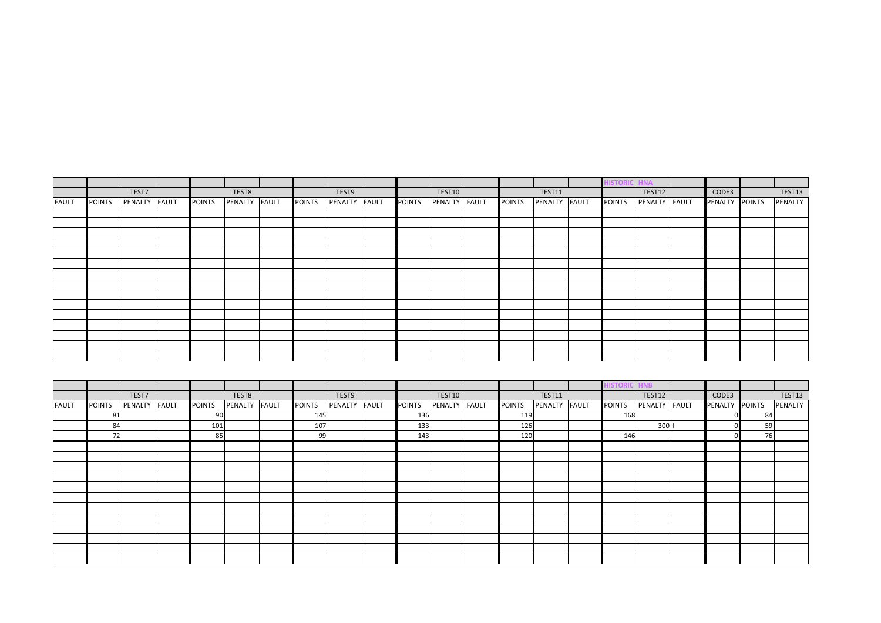|              |               |               |               |               |               |               |               |               |               |               |               | <b>AVIF</b>   |                |               |
|--------------|---------------|---------------|---------------|---------------|---------------|---------------|---------------|---------------|---------------|---------------|---------------|---------------|----------------|---------------|
|              |               | TEST7         |               | TEST8         |               | TEST9         |               | TEST10        |               | TEST11        |               | TEST12        | CODE3          | <b>TEST13</b> |
| <b>FAULT</b> | <b>POINTS</b> | PENALTY FAULT | <b>POINTS</b> | PENALTY FAULT | <b>POINTS</b> | PENALTY FAULT | <b>POINTS</b> | PENALTY FAULT | <b>POINTS</b> | PENALTY FAULT | <b>POINTS</b> | PENALTY FAULT | PENALTY POINTS | PENALTY       |
|              |               |               |               |               |               |               |               |               |               |               |               |               |                |               |
|              |               |               |               |               |               |               |               |               |               |               |               |               |                |               |
|              |               |               |               |               |               |               |               |               |               |               |               |               |                |               |
|              |               |               |               |               |               |               |               |               |               |               |               |               |                |               |
|              |               |               |               |               |               |               |               |               |               |               |               |               |                |               |
|              |               |               |               |               |               |               |               |               |               |               |               |               |                |               |
|              |               |               |               |               |               |               |               |               |               |               |               |               |                |               |
|              |               |               |               |               |               |               |               |               |               |               |               |               |                |               |
|              |               |               |               |               |               |               |               |               |               |               |               |               |                |               |
|              |               |               |               |               |               |               |               |               |               |               |               |               |                |               |
|              |               |               |               |               |               |               |               |               |               |               |               |               |                |               |
|              |               |               |               |               |               |               |               |               |               |               |               |               |                |               |
|              |               |               |               |               |               |               |               |               |               |               |               |               |                |               |
|              |               |               |               |               |               |               |               |               |               |               |               |               |                |               |
|              |               |               |               |               |               |               |               |               |               |               |               |               |                |               |

|              |               | TEST7         |               | TEST8         |               | TEST9         |               | <b>TEST10</b> |               | TEST11  |              |               | TEST12        | CODE3          |    | TEST13  |
|--------------|---------------|---------------|---------------|---------------|---------------|---------------|---------------|---------------|---------------|---------|--------------|---------------|---------------|----------------|----|---------|
| <b>FAULT</b> | <b>POINTS</b> | PENALTY FAULT | <b>POINTS</b> | PENALTY FAULT | <b>POINTS</b> | PENALTY FAULT | <b>POINTS</b> | PENALTY FAULT | <b>POINTS</b> | PENALTY | <b>FAULT</b> | <b>POINTS</b> | PENALTY FAULT | PENALTY POINTS |    | PENALTY |
|              | 81            |               | 90            |               | 145           |               | 136           |               | 119           |         |              | 168           |               |                | 84 |         |
|              | 84            |               | 101           |               | 107           |               | 133           |               | 126           |         |              |               | 300           |                | 59 |         |
|              | 72            |               | 85            |               | 99            |               | 143           |               | 120           |         |              | 146           |               |                | 76 |         |
|              |               |               |               |               |               |               |               |               |               |         |              |               |               |                |    |         |
|              |               |               |               |               |               |               |               |               |               |         |              |               |               |                |    |         |
|              |               |               |               |               |               |               |               |               |               |         |              |               |               |                |    |         |
|              |               |               |               |               |               |               |               |               |               |         |              |               |               |                |    |         |
|              |               |               |               |               |               |               |               |               |               |         |              |               |               |                |    |         |
|              |               |               |               |               |               |               |               |               |               |         |              |               |               |                |    |         |
|              |               |               |               |               |               |               |               |               |               |         |              |               |               |                |    |         |
|              |               |               |               |               |               |               |               |               |               |         |              |               |               |                |    |         |
|              |               |               |               |               |               |               |               |               |               |         |              |               |               |                |    |         |
|              |               |               |               |               |               |               |               |               |               |         |              |               |               |                |    |         |
|              |               |               |               |               |               |               |               |               |               |         |              |               |               |                |    |         |
|              |               |               |               |               |               |               |               |               |               |         |              |               |               |                |    |         |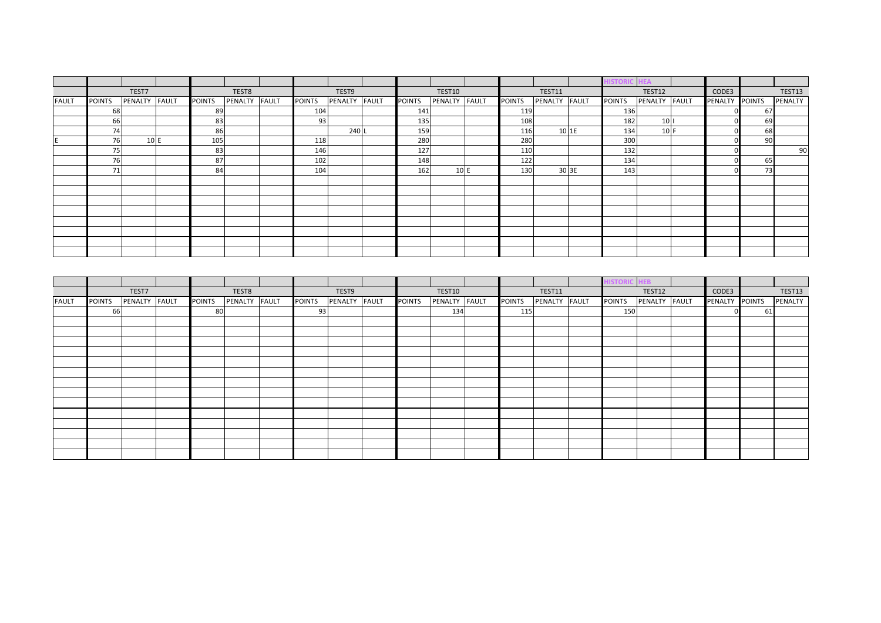|              |               |               |               |               |               |               |               |               |               |               |              | ISTOR         | IΕA             |                |     |         |
|--------------|---------------|---------------|---------------|---------------|---------------|---------------|---------------|---------------|---------------|---------------|--------------|---------------|-----------------|----------------|-----|---------|
|              |               | TEST7         |               | TEST8         |               | TEST9         |               | TEST10        |               | <b>TEST11</b> |              |               | TEST12          | CODE3          |     | TEST13  |
| <b>FAULT</b> | <b>POINTS</b> | PENALTY FAULT | <b>POINTS</b> | PENALTY FAULT | <b>POINTS</b> | PENALTY FAULT | <b>POINTS</b> | PENALTY FAULT | <b>POINTS</b> | PENALTY       | <b>FAULT</b> | <b>POINTS</b> | PENALTY FAULT   | PENALTY POINTS |     | PENALTY |
|              | 68            |               | 89            |               | 104           |               | 141           |               | 119           |               |              | 136           |                 |                | 67  |         |
|              | 66            |               | 83            |               | 93            |               | 135           |               | 108           |               |              | 182           | 10 <sub>1</sub> |                | 69  |         |
|              | 74            |               | 86            |               |               | 240 L         | 159           |               | 116           |               | 10 1E        | 134           | 10 F            |                | 68  |         |
|              | 76            | 10 E          | 105           |               | 118           |               | 280           |               | 280           |               |              | 300           |                 |                | 901 |         |
|              | 75            |               | 83            |               | 146           |               | 127           |               | 110           |               |              | 132           |                 |                |     | 90      |
|              | 76            |               | 87            |               | 102           |               | 148           |               | 122           |               |              | 134           |                 |                | 65  |         |
|              | 71            |               | 84            |               | 104           |               | 162           | 10 E          | 130           |               | 30 3E        | 143           |                 |                | 73  |         |
|              |               |               |               |               |               |               |               |               |               |               |              |               |                 |                |     |         |
|              |               |               |               |               |               |               |               |               |               |               |              |               |                 |                |     |         |
|              |               |               |               |               |               |               |               |               |               |               |              |               |                 |                |     |         |
|              |               |               |               |               |               |               |               |               |               |               |              |               |                 |                |     |         |
|              |               |               |               |               |               |               |               |               |               |               |              |               |                 |                |     |         |
|              |               |               |               |               |               |               |               |               |               |               |              |               |                 |                |     |         |
|              |               |               |               |               |               |               |               |               |               |               |              |               |                 |                |     |         |
|              |               |               |               |               |               |               |               |               |               |               |              |               |                 |                |     |         |

|              |               |               |               |               |               |               |               |               |               |               | ISTORIC       | $-HEB$        |                |    |         |
|--------------|---------------|---------------|---------------|---------------|---------------|---------------|---------------|---------------|---------------|---------------|---------------|---------------|----------------|----|---------|
|              |               | TEST7         |               | TEST8         |               | TEST9         |               | TEST10        |               | TEST11        |               | TEST12        | CODE3          |    | TEST13  |
| <b>FAULT</b> | <b>POINTS</b> | PENALTY FAULT | <b>POINTS</b> | PENALTY FAULT | <b>POINTS</b> | PENALTY FAULT | <b>POINTS</b> | PENALTY FAULT | <b>POINTS</b> | PENALTY FAULT | <b>POINTS</b> | PENALTY FAULT | PENALTY POINTS |    | PENALTY |
|              | 66            |               | 80            |               | 93            |               |               | 134           | 115           |               | 150           |               |                | 61 |         |
|              |               |               |               |               |               |               |               |               |               |               |               |               |                |    |         |
|              |               |               |               |               |               |               |               |               |               |               |               |               |                |    |         |
|              |               |               |               |               |               |               |               |               |               |               |               |               |                |    |         |
|              |               |               |               |               |               |               |               |               |               |               |               |               |                |    |         |
|              |               |               |               |               |               |               |               |               |               |               |               |               |                |    |         |
|              |               |               |               |               |               |               |               |               |               |               |               |               |                |    |         |
|              |               |               |               |               |               |               |               |               |               |               |               |               |                |    |         |
|              |               |               |               |               |               |               |               |               |               |               |               |               |                |    |         |
|              |               |               |               |               |               |               |               |               |               |               |               |               |                |    |         |
|              |               |               |               |               |               |               |               |               |               |               |               |               |                |    |         |
|              |               |               |               |               |               |               |               |               |               |               |               |               |                |    |         |
|              |               |               |               |               |               |               |               |               |               |               |               |               |                |    |         |
|              |               |               |               |               |               |               |               |               |               |               |               |               |                |    |         |
|              |               |               |               |               |               |               |               |               |               |               |               |               |                |    |         |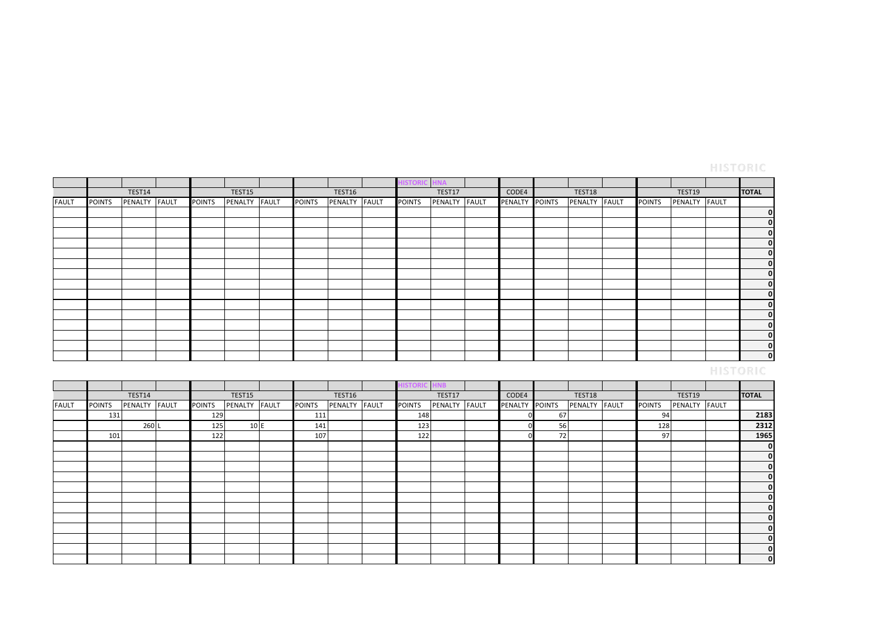|              |               |         |              |               |         |              |               |         |              | <b>ISTORIC HNA</b> |         |              |                |               |               |                |              |              |
|--------------|---------------|---------|--------------|---------------|---------|--------------|---------------|---------|--------------|--------------------|---------|--------------|----------------|---------------|---------------|----------------|--------------|--------------|
|              |               | TEST14  |              |               | TEST15  |              |               | TEST16  |              |                    | TEST17  |              | CODE4          | TEST18        |               | TEST19         |              | <b>TOTAL</b> |
| <b>FAULT</b> | <b>POINTS</b> | PENALTY | <b>FAULT</b> | <b>POINTS</b> | PENALTY | <b>FAULT</b> | <b>POINTS</b> | PENALTY | <b>FAULT</b> | <b>POINTS</b>      | PENALTY | <b>FAULT</b> | PENALTY POINTS | PENALTY FAULT | <b>POINTS</b> | <b>PENALTY</b> | <b>FAULT</b> |              |
|              |               |         |              |               |         |              |               |         |              |                    |         |              |                |               |               |                |              | 0            |
|              |               |         |              |               |         |              |               |         |              |                    |         |              |                |               |               |                |              | 0            |
|              |               |         |              |               |         |              |               |         |              |                    |         |              |                |               |               |                |              | 0            |
|              |               |         |              |               |         |              |               |         |              |                    |         |              |                |               |               |                |              | 0            |
|              |               |         |              |               |         |              |               |         |              |                    |         |              |                |               |               |                |              | 0            |
|              |               |         |              |               |         |              |               |         |              |                    |         |              |                |               |               |                |              | 0            |
|              |               |         |              |               |         |              |               |         |              |                    |         |              |                |               |               |                |              | 0            |
|              |               |         |              |               |         |              |               |         |              |                    |         |              |                |               |               |                |              | 0            |
|              |               |         |              |               |         |              |               |         |              |                    |         |              |                |               |               |                |              | 0            |
|              |               |         |              |               |         |              |               |         |              |                    |         |              |                |               |               |                |              | 0            |
|              |               |         |              |               |         |              |               |         |              |                    |         |              |                |               |               |                |              | 0            |
|              |               |         |              |               |         |              |               |         |              |                    |         |              |                |               |               |                |              | 0            |
|              |               |         |              |               |         |              |               |         |              |                    |         |              |                |               |               |                |              | 0            |
|              |               |         |              |               |         |              |               |         |              |                    |         |              |                |               |               |                |              | 0            |
|              |               |         |              |               |         |              |               |         |              |                    |         |              |                |               |               |                |              | 0            |
|              |               |         |              |               |         |              |               |         |              |                    |         |              |                |               |               |                |              |              |

|              |               |         |              |               |         |       |               |               | <b>ISTORIC</b> | <b>NB</b>      |              |                |    |         |              |               |         |              |              |
|--------------|---------------|---------|--------------|---------------|---------|-------|---------------|---------------|----------------|----------------|--------------|----------------|----|---------|--------------|---------------|---------|--------------|--------------|
|              |               | TEST14  |              |               | TEST15  |       |               | TEST16        |                | TEST17         |              | CODE4          |    | TEST18  |              |               | TEST19  |              | <b>TOTAL</b> |
| <b>FAULT</b> | <b>POINTS</b> | PENALTY | <b>FAULT</b> | <b>POINTS</b> | PENALTY | FAULT | <b>POINTS</b> | PENALTY FAULT | <b>POINTS</b>  | <b>PENALTY</b> | <b>FAULT</b> | PENALTY POINTS |    | PENALTY | <b>FAULT</b> | <b>POINTS</b> | PENALTY | <b>FAULT</b> |              |
|              | 131           |         |              | 129           |         |       | 111           |               | 148            |                |              |                | 67 |         |              | 94            |         |              | 2183         |
|              |               | 260L    |              | 125           | 10 E    |       | 141           |               | 123            |                |              |                | 56 |         |              | 128           |         |              | 2312         |
|              | 101           |         |              | 122           |         |       | 107           |               | 122            |                |              |                | 72 |         |              | 97            |         |              | 1965         |
|              |               |         |              |               |         |       |               |               |                |                |              |                |    |         |              |               |         |              | 0            |
|              |               |         |              |               |         |       |               |               |                |                |              |                |    |         |              |               |         |              | 0            |
|              |               |         |              |               |         |       |               |               |                |                |              |                |    |         |              |               |         |              | 0            |
|              |               |         |              |               |         |       |               |               |                |                |              |                |    |         |              |               |         |              | 0            |
|              |               |         |              |               |         |       |               |               |                |                |              |                |    |         |              |               |         |              | 0            |
|              |               |         |              |               |         |       |               |               |                |                |              |                |    |         |              |               |         |              | 0            |
|              |               |         |              |               |         |       |               |               |                |                |              |                |    |         |              |               |         |              | 0            |
|              |               |         |              |               |         |       |               |               |                |                |              |                |    |         |              |               |         |              | 0            |
|              |               |         |              |               |         |       |               |               |                |                |              |                |    |         |              |               |         |              | 0            |
|              |               |         |              |               |         |       |               |               |                |                |              |                |    |         |              |               |         |              | 0            |
|              |               |         |              |               |         |       |               |               |                |                |              |                |    |         |              |               |         |              | 0            |
|              |               |         |              |               |         |       |               |               |                |                |              |                |    |         |              |               |         |              | $\bf{0}$     |